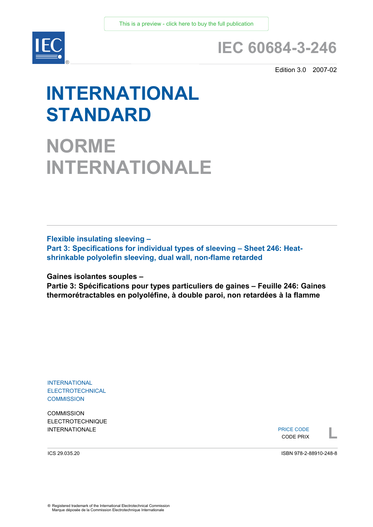

## **IEC 60684-3-246**

Edition 3.0 2007-02

# **INTERNATIONAL STANDARD**

**NORME INTERNATIONALE**

**Flexible insulating sleeving –** 

**Part 3: Specifications for individual types of sleeving – Sheet 246: Heatshrinkable polyolefin sleeving, dual wall, non-flame retarded** 

**Gaines isolantes souples –** 

**Partie 3: Spécifications pour types particuliers de gaines – Feuille 246: Gaines thermorétractables en polyoléfine, à double paroi, non retardées à la flamme** 

INTERNATIONAL ELECTROTECHNICAL **COMMISSION** 

**COMMISSION** ELECTROTECHNIQUE

INTERNATIONALE PRICE CODE PRICE CODE PRICE CODE PRICE CODE PRIX PRICE CODE CODE PRIX

ICS 29.035.20

ISBN 978-2-88910-248-8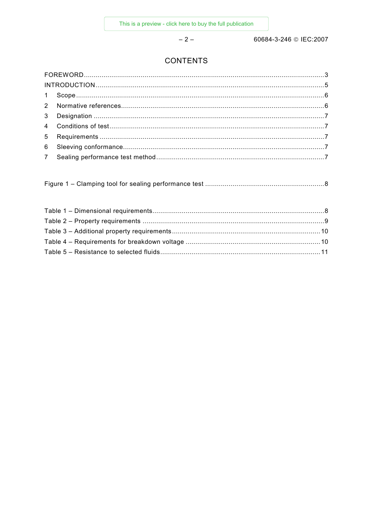$-2-$ 

60684-3-246 © IEC:2007

## **CONTENTS**

|--|--|--|--|--|--|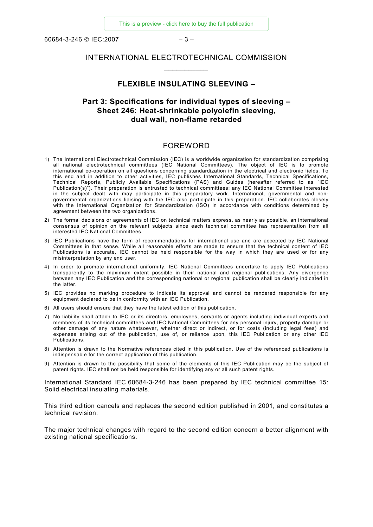<span id="page-2-0"></span> $60684 - 3 - 246$  © IFC: 2007 – 3 –

## INTERNATIONAL ELECTROTECHNICAL COMMISSION *\_\_\_\_\_\_\_\_\_\_\_*

### **FLEXIBLE INSULATING SLEEVING –**

## **Part 3: Specifications for individual types of sleeving – Sheet 246: Heat-shrinkable polyolefin sleeving, dual wall, non-flame retarded**

#### FOREWORD

- 1) The International Electrotechnical Commission (IEC) is a worldwide organization for standardization comprising all national electrotechnical committees (IEC National Committees). The object of IEC is to promote international co-operation on all questions concerning standardization in the electrical and electronic fields. To this end and in addition to other activities, IEC publishes International Standards, Technical Specifications, Technical Reports, Publicly Available Specifications (PAS) and Guides (hereafter referred to as "IEC Publication(s)"). Their preparation is entrusted to technical committees; any IEC National Committee interested in the subject dealt with may participate in this preparatory work. International, governmental and nongovernmental organizations liaising with the IEC also participate in this preparation. IEC collaborates closely with the International Organization for Standardization (ISO) in accordance with conditions determined by agreement between the two organizations.
- 2) The formal decisions or agreements of IEC on technical matters express, as nearly as possible, an international consensus of opinion on the relevant subjects since each technical committee has representation from all interested IEC National Committees.
- 3) IEC Publications have the form of recommendations for international use and are accepted by IEC National Committees in that sense. While all reasonable efforts are made to ensure that the technical content of IEC Publications is accurate, IEC cannot be held responsible for the way in which they are used or for any misinterpretation by any end user.
- 4) In order to promote international uniformity, IEC National Committees undertake to apply IEC Publications transparently to the maximum extent possible in their national and regional publications. Any divergence between any IEC Publication and the corresponding national or regional publication shall be clearly indicated in the latter.
- 5) IEC provides no marking procedure to indicate its approval and cannot be rendered responsible for any equipment declared to be in conformity with an IEC Publication.
- 6) All users should ensure that they have the latest edition of this publication.
- 7) No liability shall attach to IEC or its directors, employees, servants or agents including individual experts and members of its technical committees and IEC National Committees for any personal injury, property damage or other damage of any nature whatsoever, whether direct or indirect, or for costs (including legal fees) and expenses arising out of the publication, use of, or reliance upon, this IEC Publication or any other IEC Publications.
- 8) Attention is drawn to the Normative references cited in this publication. Use of the referenced publications is indispensable for the correct application of this publication.
- 9) Attention is drawn to the possibility that some of the elements of this IEC Publication may be the subject of patent rights. IEC shall not be held responsible for identifying any or all such patent rights.

International Standard IEC 60684-3-246 has been prepared by IEC technical committee 15: Solid electrical insulating materials.

This third edition cancels and replaces the second edition published in 2001, and constitutes a technical revision.

The major technical changes with regard to the second edition concern a better alignment with existing national specifications.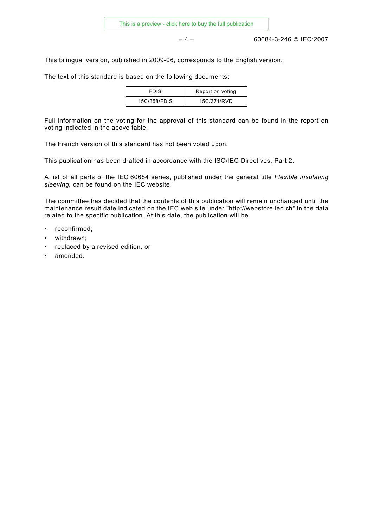– 4 – 60684-3-246 © IEC:2007

This bilingual version, published in 2009-06, corresponds to the English version.

The text of this standard is based on the following documents:

| <b>FDIS</b>  | Report on voting |
|--------------|------------------|
| 15C/358/FDIS | 15C/371/RVD      |

Full information on the voting for the approval of this standard can be found in the report on voting indicated in the above table.

The French version of this standard has not been voted upon.

This publication has been drafted in accordance with the ISO/IEC Directives, Part 2.

A list of all parts of the IEC 60684 series, published under the general title *Flexible insulating sleeving,* can be found on the IEC website.

The committee has decided that the contents of this publication will remain unchanged until the maintenance result date indicated on the IEC web site under "http://webstore.iec.ch" in the data related to the specific publication. At this date, the publication will be

- reconfirmed;
- withdrawn;
- replaced by a revised edition, or
- amended.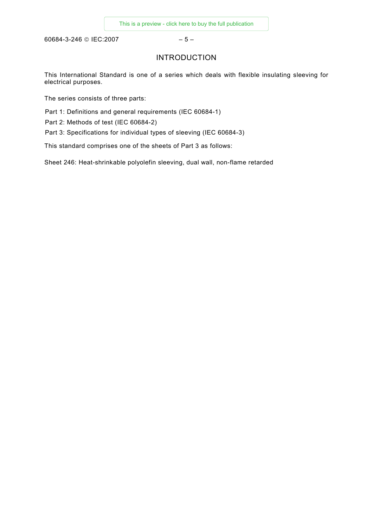<span id="page-4-0"></span>60684-3-246 © IEC:2007 – 5 –

## INTRODUCTION

This International Standard is one of a series which deals with flexible insulating sleeving for electrical purposes.

The series consists of three parts:

Part 1: Definitions and general requirements (IEC 60684-1)

Part 2: Methods of test (IEC 60684-2)

Part 3: Specifications for individual types of sleeving (IEC 60684-3)

This standard comprises one of the sheets of Part 3 as follows:

Sheet 246: Heat-shrinkable polyolefin sleeving, dual wall, non-flame retarded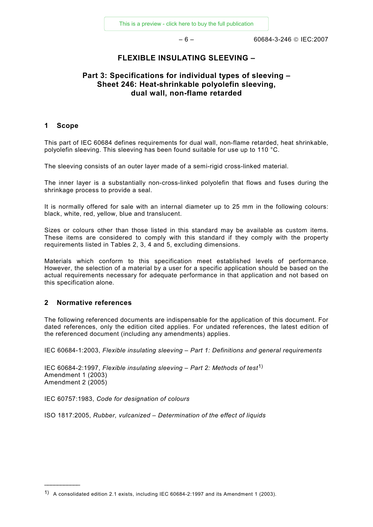$-6 - 6$ 

## **FLEXIBLE INSULATING SLEEVING –**

## <span id="page-5-0"></span>**Part 3: Specifications for individual types of sleeving – Sheet 246: Heat-shrinkable polyolefin sleeving, dual wall, non-flame retarded**

## **1 Scope**

This part of IEC 60684 defines requirements for dual wall, non-flame retarded, heat shrinkable, polyolefin sleeving. This sleeving has been found suitable for use up to 110 °C.

The sleeving consists of an outer layer made of a semi-rigid cross-linked material.

The inner layer is a substantially non-cross-linked polyolefin that flows and fuses during the shrinkage process to provide a seal.

It is normally offered for sale with an internal diameter up to 25 mm in the following colours: black, white, red, yellow, blue and translucent.

Sizes or colours other than those listed in this standard may be available as custom items. These items are considered to comply with this standard if they comply with the property requirements listed in Tables 2, 3, 4 and 5, excluding dimensions.

Materials which conform to this specification meet established levels of performance. However, the selection of a material by a user for a specific application should be based on the actual requirements necessary for adequate performance in that application and not based on this specification alone.

## **2 Normative references**

 $\frac{1}{2}$ 

The following referenced documents are indispensable for the application of this document. For dated references, only the edition cited applies. For undated references, the latest edition of the referenced document (including any amendments) applies.

IEC 60684-1:2003, *Flexible insulating sleeving – Part 1: Definitions and general requirements* 

IEC 60684-2:1997, *Flexible insulating sleeving* – *Part 2: Methods of test*[1\)](#page-5-1) Amendment 1 (2003) Amendment 2 (2005)

IEC 60757:1983, *Code for designation of colours*

ISO 1817:2005, *Rubber, vulcanized – Determination of the effect of liquids*

<span id="page-5-1"></span><sup>1)</sup> A consolidated edition 2.1 exists, including IEC 60684-2:1997 and its Amendment 1 (2003).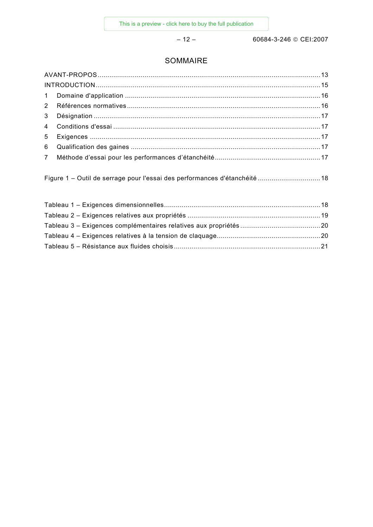$-12-$ 

60684-3-246 © CEI:2007

## SOMMAIRE

Figure 1 - Outil de serrage pour l'essai des performances d'étanchéité ................................. 18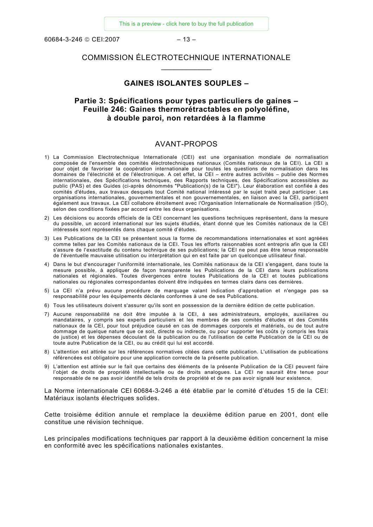<span id="page-7-0"></span>60684-3-246 © CEI:2007 – 13 –

## COMMISSION ÉLECTROTECHNIQUE INTERNATIONALE  $\frac{1}{2}$  ,  $\frac{1}{2}$  ,  $\frac{1}{2}$  ,  $\frac{1}{2}$  ,  $\frac{1}{2}$  ,  $\frac{1}{2}$

#### **GAINES ISOLANTES SOUPLES –**

## **Partie 3: Spécifications pour types particuliers de gaines – Feuille 246: Gaines thermorétractables en polyoléfine, à double paroi, non retardées à la flamme**

## AVANT-PROPOS

- 1) La Commission Electrotechnique Internationale (CEI) est une organisation mondiale de normalisation composée de l'ensemble des comités électrotechniques nationaux (Comités nationaux de la CEI). La CEI a pour objet de favoriser la coopération internationale pour toutes les questions de normalisation dans les domaines de l'électricité et de l'électronique. A cet effet, la CEI – entre autres activités – publie des Normes internationales, des Spécifications techniques, des Rapports techniques, des Spécifications accessibles au public (PAS) et des Guides (ci-après dénommés "Publication(s) de la CEI"). Leur élaboration est confiée à des comités d'études, aux travaux desquels tout Comité national intéressé par le sujet traité peut participer. Les organisations internationales, gouvernementales et non gouvernementales, en liaison avec la CEI, participent également aux travaux. La CEI collabore étroitement avec l'Organisation Internationale de Normalisation (ISO), selon des conditions fixées par accord entre les deux organisations.
- 2) Les décisions ou accords officiels de la CEI concernant les questions techniques représentent, dans la mesure du possible, un accord international sur les sujets étudiés, étant donné que les Comités nationaux de la CEI intéressés sont représentés dans chaque comité d'études.
- 3) Les Publications de la CEI se présentent sous la forme de recommandations internationales et sont agréées comme telles par les Comités nationaux de la CEI. Tous les efforts raisonnables sont entrepris afin que la CEI s'assure de l'exactitude du contenu technique de ses publications; la CEI ne peut pas être tenue responsable de l'éventuelle mauvaise utilisation ou interprétation qui en est faite par un quelconque utilisateur final.
- 4) Dans le but d'encourager l'uniformité internationale, les Comités nationaux de la CEI s'engagent, dans toute la mesure possible, à appliquer de façon transparente les Publications de la CEI dans leurs publications nationales et régionales. Toutes divergences entre toutes Publications de la CEI et toutes publications nationales ou régionales correspondantes doivent être indiquées en termes clairs dans ces dernières.
- 5) La CEI n'a prévu aucune procédure de marquage valant indication d'approbation et n'engage pas sa responsabilité pour les équipements déclarés conformes à une de ses Publications.
- 6) Tous les utilisateurs doivent s'assurer qu'ils sont en possession de la dernière édition de cette publication.
- 7) Aucune responsabilité ne doit être imputée à la CEI, à ses administrateurs, employés, auxiliaires ou mandataires, y compris ses experts particuliers et les membres de ses comités d'études et des Comités nationaux de la CEI, pour tout préjudice causé en cas de dommages corporels et matériels, ou de tout autre dommage de quelque nature que ce soit, directe ou indirecte, ou pour supporter les coûts (y compris les frais de justice) et les dépenses découlant de la publication ou de l'utilisation de cette Publication de la CEI ou de toute autre Publication de la CEI, ou au crédit qui lui est accordé.
- 8) L'attention est attirée sur les références normatives citées dans cette publication. L'utilisation de publications référencées est obligatoire pour une application correcte de la présente publication.
- 9) L'attention est attirée sur le fait que certains des éléments de la présente Publication de la CEI peuvent faire l'objet de droits de propriété intellectuelle ou de droits analogues. La CEI ne saurait être tenue pour responsable de ne pas avoir identifié de tels droits de propriété et de ne pas avoir signalé leur existence.

La Norme internationale CEI 60684-3-246 a été établie par le comité d'études 15 de la CEI: Matériaux isolants électriques solides.

Cette troisième édition annule et remplace la deuxième édition parue en 2001, dont elle constitue une révision technique.

Les principales modifications techniques par rapport à la deuxième édition concernent la mise en conformité avec les spécifications nationales existantes.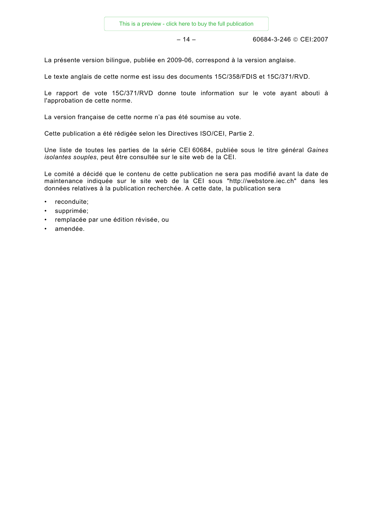– 14 – 60684-3-246 © CEI:2007

La présente version bilingue, publiée en 2009-06, correspond à la version anglaise.

Le texte anglais de cette norme est issu des documents 15C/358/FDIS et 15C/371/RVD.

Le rapport de vote 15C/371/RVD donne toute information sur le vote ayant abouti à l'approbation de cette norme.

La version française de cette norme n'a pas été soumise au vote.

Cette publication a été rédigée selon les Directives ISO/CEI, Partie 2.

Une liste de toutes les parties de la série CEI 60684, publiée sous le titre général *Gaines isolantes souples*, peut être consultée sur le site web de la CEI.

Le comité a décidé que le contenu de cette publication ne sera pas modifié avant la date de maintenance indiquée sur le site web de la CEI sous "http://webstore.iec.ch" dans les données relatives à la publication recherchée. A cette date, la publication sera

- reconduite;
- supprimée;
- remplacée par une édition révisée, ou
- amendée.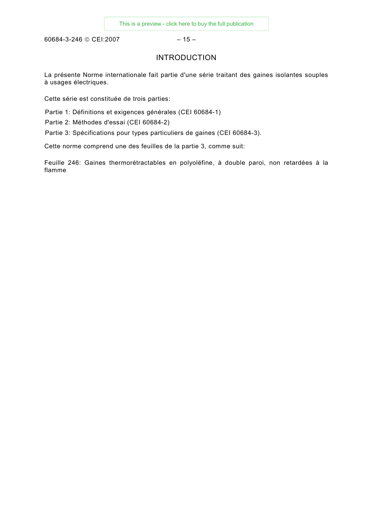<span id="page-9-0"></span>60684-3-246 © CEI:2007 - 15 -

## INTRODUCTION

La présente Norme internationale fait partie d'une série traitant des gaines isolantes souples à usages électriques.

Cette série est constituée de trois parties:

Partie 1: Définitions et exigences générales (CEI 60684-1)

Partie 2: Méthodes d'essai (CEI 60684-2)

Partie 3: Spécifications pour types particuliers de gaines (CEI 60684-3).

Cette norme comprend une des feuilles de la partie 3, comme suit:

Feuille 246: Gaines thermorétractables en polyoléfine, à double paroi, non retardées à la flamme